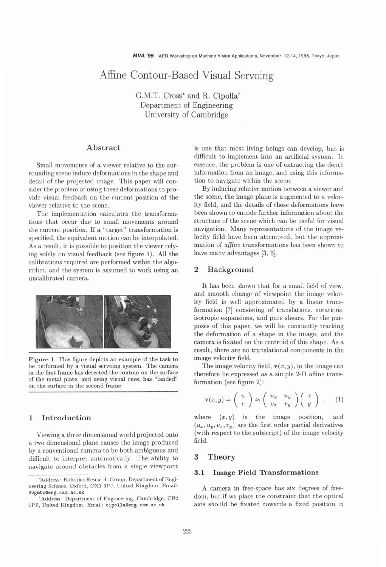# Affine Contour-Based Visual Servoing

G.M.T. Cross\* and R. Cipollat Department of Engineering University of Cambridge

# **Abstract**

Small movements of a viewer relative to the surrounding scene induce deformations in the shape and detail of the projected image. This paper will consider the problem of using these deformations to provide visual feedback on the current position of the viewer relative to the scene.

The implementation calculates the transformations that occur due to small movements around the current position. If a "target" transformation is specified, the equivalent motion can be interpolated. As a result, it is possible to position the viewer relying solely on visual feedback (see figure 1). All the calibrations required are performed within the algorithm, and the system is assumed to work using an uncalibrated camera.



**Figure 1: This figure depicts an example of the task to be performed by a visual servoing system. The camera in the first frame has detected the contour on the surface of the metal plate, and using visual cues, has "landed" on the surface in the second frame.** 

# **1 Introduction**

Viewing a three dimensional world projected onto a two dimensional plane causes the image produced by a conventional camera to be both ambiguous and difficult to interpret automatically. The ability to navigate around obstacles from a single viewpoint is one that most living beings can develop, but is difficult to implement into an artificial system. In essence, the problem is one of extracting the depth information from an image, and using this inforrnation to navigate within the scene.

By inducing relative motion between a viewer and the scene, the image plane is augmented to a velocity field, and the details of these deformations have been shown to encode further information about the structure of the scene which can be useful for visual navigation. Many representations of the image velocity field have been attempted, but the approximation of *afine* transformations has been shown to have many advantages **[3, 51.** 

### **2 Background**

It has been shown that for a small field of view, and smooth change of viewpoint the image velocity field is well approximated by a linear transformation [7] consisting of translations, rotations, isotropic expansions, and pure shears. For the purposes of this paper, we will be constantly tracking the deformation of a shape in the image, and the camera is fixated on the centroid of this shape. As a result, there are no translational components in the image velocity field.

The image velocity field,  $\mathbf{v}(x, y)$ , in the image can therefore be expressed as a simple 2-D affine transformation (see figure 2):

$$
\mathbf{v}(x,y) = \left(\begin{array}{c} u \\ v \end{array}\right) \approx \left(\begin{array}{cc} u_x & u_y \\ v_x & v_y \end{array}\right) \left(\begin{array}{c} x \\ y \end{array}\right) , \quad (1)
$$

where  $(x, y)$  is the image position, and  $(u_x, u_y, v_x, v_y)$  are the first order partial derivatives (with respect to the subscript) of the image velocity field.

### **3 Theory**

#### **3.1 Image Field Transformations**

A camera in free-space has six degrees of freedom, but if we place the constraint that the optical axis should be fixated towards a fixed position in

**<sup>&#</sup>x27;Address: Robotics Research Group, Department of Engineering Science, Oxford, OX1 3PJ, United Kingdom. Email: 92gmtcQeng.cam.ac.uk** 

**tAddress: Department of Engineering, Cambridge, CB2**  lPZ, **United Kingdom. Email: cipolla0eng. cam. ac .uk**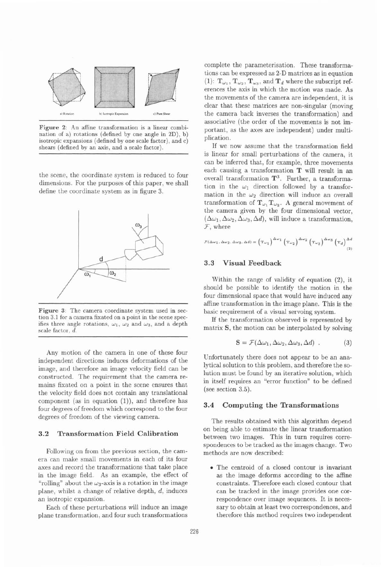

**Figure 2:** An affine transformation is a linear combination of a) rotations (defined by one angle in 2D), b) isotropic expansions (defined by one scale factor), and c) shears (defined by an axis, and a scale factor).

the scene, the coordinate system is reduced to four dimensions. For the purposes of this paper, we shall define the coordinate system as in figure 3.



**Figure 3:** The camera coordinate system used in section 3.1 for a camera fixated on a point in the scene specifies three angle rotations,  $\omega_1$ ,  $\omega_2$  and  $\omega_3$ , and a depth scale factor, d.

Any motion of the camera in one of these four independent directions induces deformations of the image, and therefore an image velocity field can be constructed. The requirement that the camera remains fixated on a point in the scene ensures that the velocity field does not contain any translational component (as in equation (I)), and therefore has four degrees of freedom which correspond to the four degrees of freedom of the viewing camera.

#### **3.2 Transformation Field Calibration**

Following on from the previous section, the camera can make small movements in each of its four axes and record the transformations that take place in the image field. As an example, the effect of "rolling" about the  $\omega_3$ -axis is a rotation in the image plane, whilst a change of relative depth,  $d$ , induces an isotropic expansion.

Each of these perturbations will induce an image plane transformation, and four such transformations

complete the parameterisation. These transformations can be expressed as 2-D matrices as in equation (1):  $\mathbf{T}_{\omega_1}, \mathbf{T}_{\omega_2}, \mathbf{T}_{\omega_3}$ , and  $\mathbf{T}_d$  where the subscript references the axis in which the motion was made. As the movements of the camera are independent, it is clear that these matrices are non-singular (moving the camera back inverses the transformation) and associative (the order of the movements is not important, as the axes are independent) under multiplication.

If we now assume that the transformation field is linear for small perturbations of the camera, it can be inferred that, for example, three movements each causing a transformation T will result in an overall transformation  $T^3$ . Further, a transformation in the  $\omega_1$  direction followed by a transformation in the  $\omega_2$  direction will induce an overall transformation of  $T_{\omega_1} T_{\omega_2}$ . A general movement of the camera given by the four dimensional vector,  $(\Delta \omega_1, \Delta \omega_2, \Delta \omega_3, \Delta d)$ , will induce a transformation, **7,** where

$$
\mathcal{F}(\Delta\omega_1,\Delta\omega_2,\Delta\omega_3,\Delta d)=\left(T\omega_1\right)^{\Delta\omega_1}\left(T\omega_2\right)^{\Delta\omega_2}\left(T\omega_3\right)^{\Delta\omega_3}\left(T_d\right)^{\Delta d}\label{eq:flux}
$$

# **3.3 Visual Feedback**

Within the range of validity of equation (2), it should be possible to identify the motion in the four dimensional space that would have induced any affine transformation in the image plane. This is the basic requirement of a visual servoing system.

If the transformation observed is represented by matrix S, the motion can be interpolated by solving

$$
\mathbf{S} = \mathcal{F}(\Delta \omega_1, \Delta \omega_2, \Delta \omega_3, \Delta d) \tag{3}
$$

Unfortunately there does not appear to be an analytical solution to this problem, and therefore the solution must be found by an iterative solution, which in itself requires an "error function" to be defined (see section 3.5).

#### **3.4 Computing the Transformations**

The results obtained with this algorithm depend on being able to estimate the linear transformation between two images. This in turn requires correspondences to be tracked as the images change. Two methods are now described:

The centroid of a closed contour is invariant as the image deforms according to the affine constraints. Therefore each closed contour that can be tracked in the image provides one correspondence over image sequences. It is necessary to obtain at least two correspondences, and therefore this method requires two independent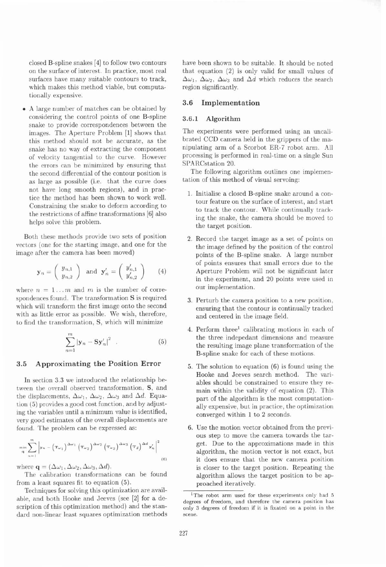closed B-spline snakes [4] to follow two contours on the surface of interest. In practice, most real surfaces have many suitable contours to track, which makes this method viable, but computationally expensive.

**A** large number of matches can be obtained by considering the control points of one B-spline snake to provide correspondences between the images. The Aperture Problem [l] shows that this method should not be accurate, as the snake has no way of extracting the component of velocity tangential to the curve. However the errors can be minimized by ensuring that the second differential of the contour position is as large as possible (i.e. that the curve does not have long smooth regions), and in prac. tice the method has been shown to work well. Constraining the snake to deform according to the restrictions of affine transformations [6] also helps solve this problem.

Both these methods provide two sets of position vectors (one for the starting image, and one for the image after the camera has been moved)

$$
\mathbf{y}_n = \left(\begin{array}{c} y_{n,1} \\ y_{n,2} \end{array}\right) \text{ and } \mathbf{y}'_n = \left(\begin{array}{c} y'_{n,1} \\ y'_{n,2} \end{array}\right) \qquad (4)
$$

where  $n = 1...m$  and m is the number of correspondences found. The transformation S is required which will transform the first image onto the second with as little error as possible. We wish, therefore, to find the transformation, S, which will minimize

$$
\sum_{n=1}^{m} |{\bf y}_n - {\bf S} {\bf y}'_n|^2 \quad . \tag{5}
$$

# **3.5 Approximating the Position Error**

In section **3.3** we introduced the relationship between the overall observed transformation, S, and the displacements,  $\Delta\omega_1$ ,  $\Delta\omega_2$ ,  $\Delta\omega_3$  and  $\Delta d$ . Equation (5) provides a good cost function, and by adjusting the variables until a minimum value is identified, very good estimates of the overall displacements are found. The problem can be expressed as:

$$
\min_{\mathbf{q}} \sum_{n=1}^{m} \left| \mathbf{y}_{n} - \left( \mathbf{T}_{\omega_{1}} \right)^{\Delta \omega_{1}} \left( \mathbf{T}_{\omega_{2}} \right)^{\Delta \omega_{2}} \left( \mathbf{T}_{\omega_{3}} \right)^{\Delta \omega_{3}} \left( \mathbf{T}_{d} \right)^{\Delta d} \mathbf{y}_{n}^{\prime} \right|^{2} \tag{6}
$$

where  $\mathbf{q} = (\Delta \omega_1, \Delta \omega_2, \Delta \omega_3, \Delta d)$ .

The calibration transformations can be found from a least squares fit to equation (5).

Techniques for solving this optimization are available, and both Hooke and Jeeves (see [2] for a description of this optimization method) and the standard non-linear least squares optimization methods have been shown to be suitable. It should be noted that equation (2) is only valid for small values of  $\Delta\omega_1$ ,  $\Delta\omega_2$ ,  $\Delta\omega_3$  and  $\Delta d$  which reduces the search region significantly.

# **3.6 Implementation**

#### **3.6.1 Algorithm**

The experiments were performed using an uncalibrated CCD camera held in the grippers of the manipulating arm of a Scorbot ER-7 robot arm. All processing is performed in real-time on a single Sun SPARCstation 20.

The following algorithm outlines one implementation of this method of visual servoing:

- 1. Initialise a closed B-spline snake around a contour feature on the surface of interest, and start to track the contour. While continually tracking the snake, the camera should be moved to the target position.
- 2. Record the target image as a set of points on the image defined by the position of the control points of the B-spline snake. **A** large number of points ensures that small errors due to the Aperture Problem will not be significant later in the experiment, and 20 points were used in our implementation.
- **3.** Perturb the camera position to a new position, ensuring that the contour is continually tracked and centered in the image field.
- 4. Perform three<sup>1</sup> calibrating motions in each of the three indepedant dimensions and measure the resulting image plane transformation of the B-spline snake for each of these motions.
- 5. The solution to equation (6) is found using the Hooke and Jeeves search method. The variables should be constrained to ensure they remain within the validity of equation (2). This part of the algorithm is the most computationally expensive, but in practice, the optimization converged within 1 to 2 seconds.
- 6. Use the motion vector obtained from the previous step to move the camera towards the target. Due to the approximations made in this algorithm, the motion vector is not exact, but it does ensure that the new camera position is closer to the target position. Repeating the algorithm allows the target position to be approached iteratively.

**<sup>&#</sup>x27;The robot arm used for these experiments only had 5 degrees of freedom, and therefore the camera position has only 3 degrees of freedom if it is fixated on a point in the scene.**